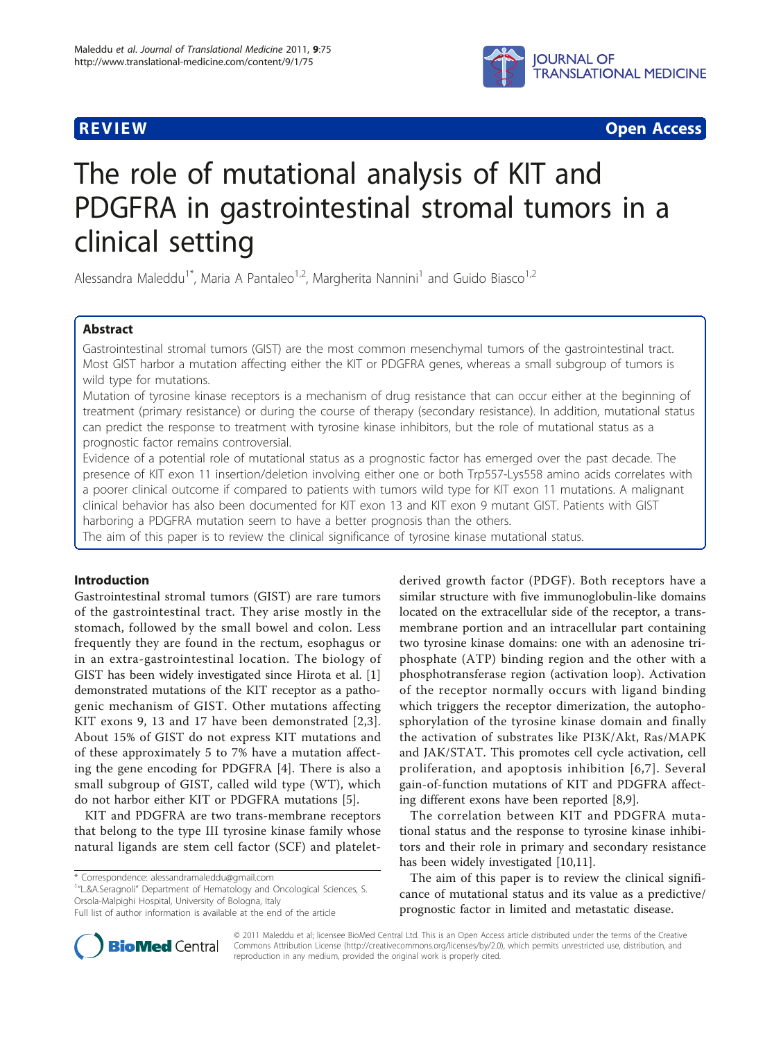



**REVIEW CONSTRUCTION CONSTRUCTION CONSTRUCTS** 

# The role of mutational analysis of KIT and PDGFRA in gastrointestinal stromal tumors in a clinical setting

Alessandra Maleddu<sup>1\*</sup>, Maria A Pantaleo<sup>1,2</sup>, Margherita Nannini<sup>1</sup> and Guido Biasco<sup>1,2</sup>

# Abstract

Gastrointestinal stromal tumors (GIST) are the most common mesenchymal tumors of the gastrointestinal tract. Most GIST harbor a mutation affecting either the KIT or PDGFRA genes, whereas a small subgroup of tumors is wild type for mutations.

Mutation of tyrosine kinase receptors is a mechanism of drug resistance that can occur either at the beginning of treatment (primary resistance) or during the course of therapy (secondary resistance). In addition, mutational status can predict the response to treatment with tyrosine kinase inhibitors, but the role of mutational status as a prognostic factor remains controversial.

Evidence of a potential role of mutational status as a prognostic factor has emerged over the past decade. The presence of KIT exon 11 insertion/deletion involving either one or both Trp557-Lys558 amino acids correlates with a poorer clinical outcome if compared to patients with tumors wild type for KIT exon 11 mutations. A malignant clinical behavior has also been documented for KIT exon 13 and KIT exon 9 mutant GIST. Patients with GIST harboring a PDGFRA mutation seem to have a better prognosis than the others.

The aim of this paper is to review the clinical significance of tyrosine kinase mutational status.

## Introduction

Gastrointestinal stromal tumors (GIST) are rare tumors of the gastrointestinal tract. They arise mostly in the stomach, followed by the small bowel and colon. Less frequently they are found in the rectum, esophagus or in an extra-gastrointestinal location. The biology of GIST has been widely investigated since Hirota et al. [[1](#page-5-0)] demonstrated mutations of the KIT receptor as a pathogenic mechanism of GIST. Other mutations affecting KIT exons 9, 13 and 17 have been demonstrated [[2,3](#page-5-0)]. About 15% of GIST do not express KIT mutations and of these approximately 5 to 7% have a mutation affecting the gene encoding for PDGFRA [\[4](#page-5-0)]. There is also a small subgroup of GIST, called wild type (WT), which do not harbor either KIT or PDGFRA mutations [\[5\]](#page-5-0).

KIT and PDGFRA are two trans-membrane receptors that belong to the type III tyrosine kinase family whose natural ligands are stem cell factor (SCF) and platelet-

<sup>1</sup>"L.&A.Seragnoli" Department of Hematology and Oncological Sciences, S. Orsola-Malpighi Hospital, University of Bologna, Italy

derived growth factor (PDGF). Both receptors have a similar structure with five immunoglobulin-like domains located on the extracellular side of the receptor, a transmembrane portion and an intracellular part containing two tyrosine kinase domains: one with an adenosine triphosphate (ATP) binding region and the other with a phosphotransferase region (activation loop). Activation of the receptor normally occurs with ligand binding which triggers the receptor dimerization, the autophosphorylation of the tyrosine kinase domain and finally the activation of substrates like PI3K/Akt, Ras/MAPK and JAK/STAT. This promotes cell cycle activation, cell proliferation, and apoptosis inhibition [[6](#page-5-0),[7](#page-5-0)]. Several gain-of-function mutations of KIT and PDGFRA affecting different exons have been reported [\[8,9](#page-5-0)].

The correlation between KIT and PDGFRA mutational status and the response to tyrosine kinase inhibitors and their role in primary and secondary resistance has been widely investigated [\[10,11](#page-5-0)].

The aim of this paper is to review the clinical significance of mutational status and its value as a predictive/ prognostic factor in limited and metastatic disease.



© 2011 Maleddu et al; licensee BioMed Central Ltd. This is an Open Access article distributed under the terms of the Creative Commons Attribution License [\(http://creativecommons.org/licenses/by/2.0](http://creativecommons.org/licenses/by/2.0)), which permits unrestricted use, distribution, and reproduction in any medium, provided the original work is properly cited.

<sup>\*</sup> Correspondence: [alessandramaleddu@gmail.com](mailto:alessandramaleddu@gmail.com)

Full list of author information is available at the end of the article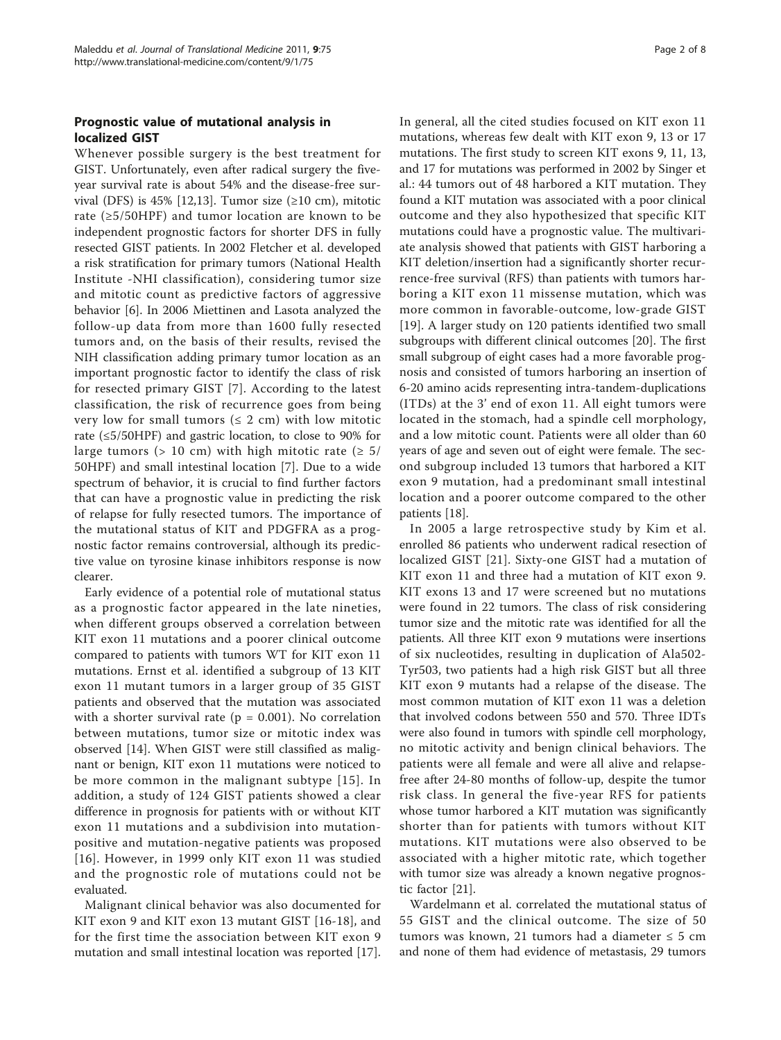# Prognostic value of mutational analysis in localized GIST

Whenever possible surgery is the best treatment for GIST. Unfortunately, even after radical surgery the fiveyear survival rate is about 54% and the disease-free survival (DFS) is  $45\%$  [[12,](#page-5-0)[13\]](#page-6-0). Tumor size ( $\geq 10$  cm), mitotic rate (≥5/50HPF) and tumor location are known to be independent prognostic factors for shorter DFS in fully resected GIST patients. In 2002 Fletcher et al. developed a risk stratification for primary tumors (National Health Institute -NHI classification), considering tumor size and mitotic count as predictive factors of aggressive behavior [\[6](#page-5-0)]. In 2006 Miettinen and Lasota analyzed the follow-up data from more than 1600 fully resected tumors and, on the basis of their results, revised the NIH classification adding primary tumor location as an important prognostic factor to identify the class of risk for resected primary GIST [\[7](#page-5-0)]. According to the latest classification, the risk of recurrence goes from being very low for small tumors  $(≤ 2 cm)$  with low mitotic rate (≤5/50HPF) and gastric location, to close to 90% for large tumors (> 10 cm) with high mitotic rate ( $\geq 5/$ 50HPF) and small intestinal location [\[7](#page-5-0)]. Due to a wide spectrum of behavior, it is crucial to find further factors that can have a prognostic value in predicting the risk of relapse for fully resected tumors. The importance of the mutational status of KIT and PDGFRA as a prognostic factor remains controversial, although its predictive value on tyrosine kinase inhibitors response is now clearer.

Early evidence of a potential role of mutational status as a prognostic factor appeared in the late nineties, when different groups observed a correlation between KIT exon 11 mutations and a poorer clinical outcome compared to patients with tumors WT for KIT exon 11 mutations. Ernst et al. identified a subgroup of 13 KIT exon 11 mutant tumors in a larger group of 35 GIST patients and observed that the mutation was associated with a shorter survival rate ( $p = 0.001$ ). No correlation between mutations, tumor size or mitotic index was observed [[14](#page-6-0)]. When GIST were still classified as malignant or benign, KIT exon 11 mutations were noticed to be more common in the malignant subtype [[15\]](#page-6-0). In addition, a study of 124 GIST patients showed a clear difference in prognosis for patients with or without KIT exon 11 mutations and a subdivision into mutationpositive and mutation-negative patients was proposed [[16](#page-6-0)]. However, in 1999 only KIT exon 11 was studied and the prognostic role of mutations could not be evaluated.

Malignant clinical behavior was also documented for KIT exon 9 and KIT exon 13 mutant GIST [[16](#page-6-0)-[18\]](#page-6-0), and for the first time the association between KIT exon 9 mutation and small intestinal location was reported [\[17](#page-6-0)]. In general, all the cited studies focused on KIT exon 11 mutations, whereas few dealt with KIT exon 9, 13 or 17 mutations. The first study to screen KIT exons 9, 11, 13, and 17 for mutations was performed in 2002 by Singer et al.: 44 tumors out of 48 harbored a KIT mutation. They found a KIT mutation was associated with a poor clinical outcome and they also hypothesized that specific KIT mutations could have a prognostic value. The multivariate analysis showed that patients with GIST harboring a KIT deletion/insertion had a significantly shorter recurrence-free survival (RFS) than patients with tumors harboring a KIT exon 11 missense mutation, which was more common in favorable-outcome, low-grade GIST [[19](#page-6-0)]. A larger study on 120 patients identified two small subgroups with different clinical outcomes [\[20](#page-6-0)]. The first small subgroup of eight cases had a more favorable prognosis and consisted of tumors harboring an insertion of 6-20 amino acids representing intra-tandem-duplications (ITDs) at the 3' end of exon 11. All eight tumors were located in the stomach, had a spindle cell morphology, and a low mitotic count. Patients were all older than 60 years of age and seven out of eight were female. The second subgroup included 13 tumors that harbored a KIT exon 9 mutation, had a predominant small intestinal location and a poorer outcome compared to the other patients [[18](#page-6-0)].

In 2005 a large retrospective study by Kim et al. enrolled 86 patients who underwent radical resection of localized GIST [[21](#page-6-0)]. Sixty-one GIST had a mutation of KIT exon 11 and three had a mutation of KIT exon 9. KIT exons 13 and 17 were screened but no mutations were found in 22 tumors. The class of risk considering tumor size and the mitotic rate was identified for all the patients. All three KIT exon 9 mutations were insertions of six nucleotides, resulting in duplication of Ala502- Tyr503, two patients had a high risk GIST but all three KIT exon 9 mutants had a relapse of the disease. The most common mutation of KIT exon 11 was a deletion that involved codons between 550 and 570. Three IDTs were also found in tumors with spindle cell morphology, no mitotic activity and benign clinical behaviors. The patients were all female and were all alive and relapsefree after 24-80 months of follow-up, despite the tumor risk class. In general the five-year RFS for patients whose tumor harbored a KIT mutation was significantly shorter than for patients with tumors without KIT mutations. KIT mutations were also observed to be associated with a higher mitotic rate, which together with tumor size was already a known negative prognostic factor [[21\]](#page-6-0).

Wardelmann et al. correlated the mutational status of 55 GIST and the clinical outcome. The size of 50 tumors was known, 21 tumors had a diameter ≤ 5 cm and none of them had evidence of metastasis, 29 tumors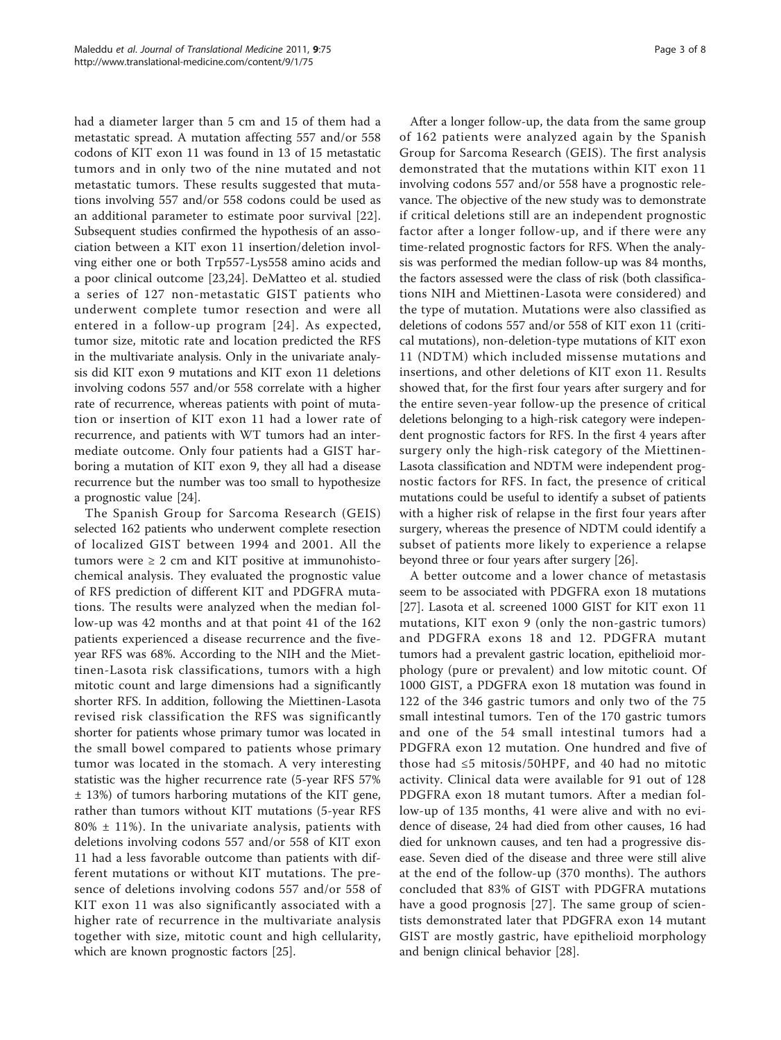had a diameter larger than 5 cm and 15 of them had a metastatic spread. A mutation affecting 557 and/or 558 codons of KIT exon 11 was found in 13 of 15 metastatic tumors and in only two of the nine mutated and not metastatic tumors. These results suggested that mutations involving 557 and/or 558 codons could be used as an additional parameter to estimate poor survival [[22\]](#page-6-0). Subsequent studies confirmed the hypothesis of an association between a KIT exon 11 insertion/deletion involving either one or both Trp557-Lys558 amino acids and a poor clinical outcome [[23,24\]](#page-6-0). DeMatteo et al. studied a series of 127 non-metastatic GIST patients who underwent complete tumor resection and were all entered in a follow-up program [[24](#page-6-0)]. As expected, tumor size, mitotic rate and location predicted the RFS in the multivariate analysis. Only in the univariate analysis did KIT exon 9 mutations and KIT exon 11 deletions involving codons 557 and/or 558 correlate with a higher rate of recurrence, whereas patients with point of mutation or insertion of KIT exon 11 had a lower rate of recurrence, and patients with WT tumors had an intermediate outcome. Only four patients had a GIST harboring a mutation of KIT exon 9, they all had a disease recurrence but the number was too small to hypothesize a prognostic value [[24\]](#page-6-0).

The Spanish Group for Sarcoma Research (GEIS) selected 162 patients who underwent complete resection of localized GIST between 1994 and 2001. All the tumors were  $\geq 2$  cm and KIT positive at immunohistochemical analysis. They evaluated the prognostic value of RFS prediction of different KIT and PDGFRA mutations. The results were analyzed when the median follow-up was 42 months and at that point 41 of the 162 patients experienced a disease recurrence and the fiveyear RFS was 68%. According to the NIH and the Miettinen-Lasota risk classifications, tumors with a high mitotic count and large dimensions had a significantly shorter RFS. In addition, following the Miettinen-Lasota revised risk classification the RFS was significantly shorter for patients whose primary tumor was located in the small bowel compared to patients whose primary tumor was located in the stomach. A very interesting statistic was the higher recurrence rate (5-year RFS 57% ± 13%) of tumors harboring mutations of the KIT gene, rather than tumors without KIT mutations (5-year RFS  $80\% \pm 11\%$ ). In the univariate analysis, patients with deletions involving codons 557 and/or 558 of KIT exon 11 had a less favorable outcome than patients with different mutations or without KIT mutations. The presence of deletions involving codons 557 and/or 558 of KIT exon 11 was also significantly associated with a higher rate of recurrence in the multivariate analysis together with size, mitotic count and high cellularity, which are known prognostic factors [[25](#page-6-0)].

After a longer follow-up, the data from the same group of 162 patients were analyzed again by the Spanish Group for Sarcoma Research (GEIS). The first analysis demonstrated that the mutations within KIT exon 11 involving codons 557 and/or 558 have a prognostic relevance. The objective of the new study was to demonstrate if critical deletions still are an independent prognostic factor after a longer follow-up, and if there were any time-related prognostic factors for RFS. When the analysis was performed the median follow-up was 84 months, the factors assessed were the class of risk (both classifications NIH and Miettinen-Lasota were considered) and the type of mutation. Mutations were also classified as deletions of codons 557 and/or 558 of KIT exon 11 (critical mutations), non-deletion-type mutations of KIT exon 11 (NDTM) which included missense mutations and insertions, and other deletions of KIT exon 11. Results showed that, for the first four years after surgery and for the entire seven-year follow-up the presence of critical deletions belonging to a high-risk category were independent prognostic factors for RFS. In the first 4 years after surgery only the high-risk category of the Miettinen-Lasota classification and NDTM were independent prognostic factors for RFS. In fact, the presence of critical mutations could be useful to identify a subset of patients with a higher risk of relapse in the first four years after surgery, whereas the presence of NDTM could identify a subset of patients more likely to experience a relapse beyond three or four years after surgery [[26](#page-6-0)].

A better outcome and a lower chance of metastasis seem to be associated with PDGFRA exon 18 mutations [[27\]](#page-6-0). Lasota et al. screened 1000 GIST for KIT exon 11 mutations, KIT exon 9 (only the non-gastric tumors) and PDGFRA exons 18 and 12. PDGFRA mutant tumors had a prevalent gastric location, epithelioid morphology (pure or prevalent) and low mitotic count. Of 1000 GIST, a PDGFRA exon 18 mutation was found in 122 of the 346 gastric tumors and only two of the 75 small intestinal tumors. Ten of the 170 gastric tumors and one of the 54 small intestinal tumors had a PDGFRA exon 12 mutation. One hundred and five of those had  $\leq$ 5 mitosis/50HPF, and 40 had no mitotic activity. Clinical data were available for 91 out of 128 PDGFRA exon 18 mutant tumors. After a median follow-up of 135 months, 41 were alive and with no evidence of disease, 24 had died from other causes, 16 had died for unknown causes, and ten had a progressive disease. Seven died of the disease and three were still alive at the end of the follow-up (370 months). The authors concluded that 83% of GIST with PDGFRA mutations have a good prognosis [[27](#page-6-0)]. The same group of scientists demonstrated later that PDGFRA exon 14 mutant GIST are mostly gastric, have epithelioid morphology and benign clinical behavior [[28\]](#page-6-0).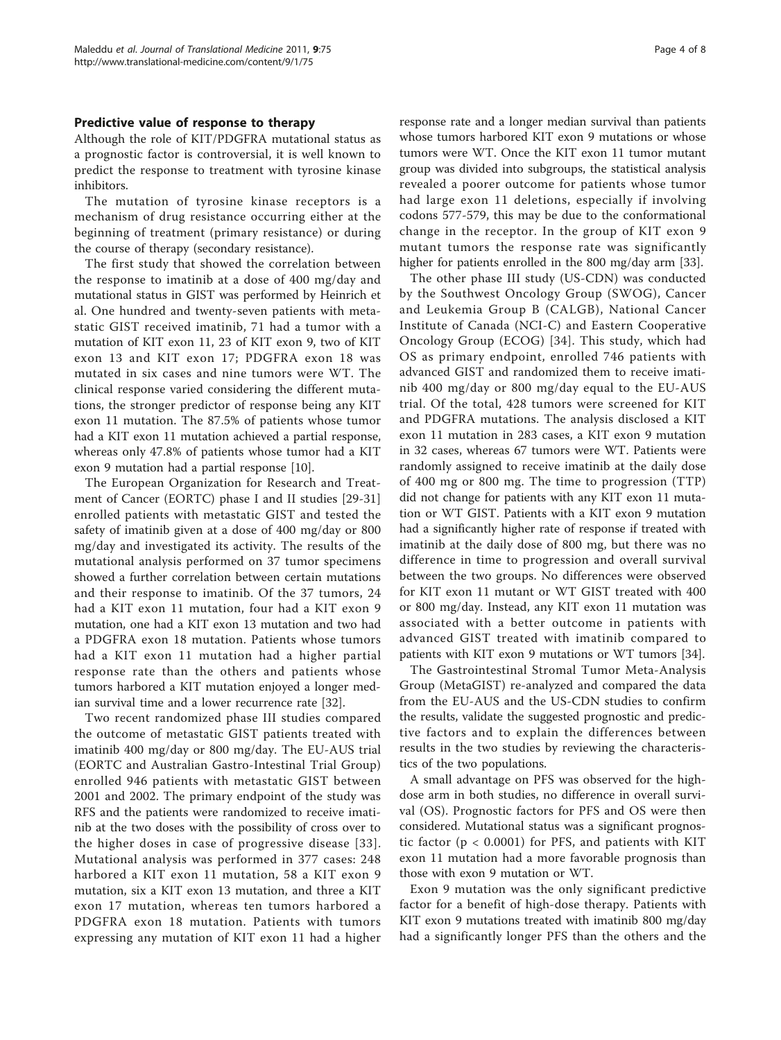## Predictive value of response to therapy

Although the role of KIT/PDGFRA mutational status as a prognostic factor is controversial, it is well known to predict the response to treatment with tyrosine kinase inhibitors.

The mutation of tyrosine kinase receptors is a mechanism of drug resistance occurring either at the beginning of treatment (primary resistance) or during the course of therapy (secondary resistance).

The first study that showed the correlation between the response to imatinib at a dose of 400 mg/day and mutational status in GIST was performed by Heinrich et al. One hundred and twenty-seven patients with metastatic GIST received imatinib, 71 had a tumor with a mutation of KIT exon 11, 23 of KIT exon 9, two of KIT exon 13 and KIT exon 17; PDGFRA exon 18 was mutated in six cases and nine tumors were WT. The clinical response varied considering the different mutations, the stronger predictor of response being any KIT exon 11 mutation. The 87.5% of patients whose tumor had a KIT exon 11 mutation achieved a partial response, whereas only 47.8% of patients whose tumor had a KIT exon 9 mutation had a partial response [[10\]](#page-5-0).

The European Organization for Research and Treatment of Cancer (EORTC) phase I and II studies [[29-31](#page-6-0)] enrolled patients with metastatic GIST and tested the safety of imatinib given at a dose of 400 mg/day or 800 mg/day and investigated its activity. The results of the mutational analysis performed on 37 tumor specimens showed a further correlation between certain mutations and their response to imatinib. Of the 37 tumors, 24 had a KIT exon 11 mutation, four had a KIT exon 9 mutation, one had a KIT exon 13 mutation and two had a PDGFRA exon 18 mutation. Patients whose tumors had a KIT exon 11 mutation had a higher partial response rate than the others and patients whose tumors harbored a KIT mutation enjoyed a longer median survival time and a lower recurrence rate [\[32](#page-6-0)].

Two recent randomized phase III studies compared the outcome of metastatic GIST patients treated with imatinib 400 mg/day or 800 mg/day. The EU-AUS trial (EORTC and Australian Gastro-Intestinal Trial Group) enrolled 946 patients with metastatic GIST between 2001 and 2002. The primary endpoint of the study was RFS and the patients were randomized to receive imatinib at the two doses with the possibility of cross over to the higher doses in case of progressive disease [[33\]](#page-6-0). Mutational analysis was performed in 377 cases: 248 harbored a KIT exon 11 mutation, 58 a KIT exon 9 mutation, six a KIT exon 13 mutation, and three a KIT exon 17 mutation, whereas ten tumors harbored a PDGFRA exon 18 mutation. Patients with tumors expressing any mutation of KIT exon 11 had a higher

response rate and a longer median survival than patients whose tumors harbored KIT exon 9 mutations or whose tumors were WT. Once the KIT exon 11 tumor mutant group was divided into subgroups, the statistical analysis revealed a poorer outcome for patients whose tumor had large exon 11 deletions, especially if involving codons 577-579, this may be due to the conformational change in the receptor. In the group of KIT exon 9 mutant tumors the response rate was significantly higher for patients enrolled in the 800 mg/day arm [[33](#page-6-0)].

The other phase III study (US-CDN) was conducted by the Southwest Oncology Group (SWOG), Cancer and Leukemia Group B (CALGB), National Cancer Institute of Canada (NCI-C) and Eastern Cooperative Oncology Group (ECOG) [[34\]](#page-6-0). This study, which had OS as primary endpoint, enrolled 746 patients with advanced GIST and randomized them to receive imatinib 400 mg/day or 800 mg/day equal to the EU-AUS trial. Of the total, 428 tumors were screened for KIT and PDGFRA mutations. The analysis disclosed a KIT exon 11 mutation in 283 cases, a KIT exon 9 mutation in 32 cases, whereas 67 tumors were WT. Patients were randomly assigned to receive imatinib at the daily dose of 400 mg or 800 mg. The time to progression (TTP) did not change for patients with any KIT exon 11 mutation or WT GIST. Patients with a KIT exon 9 mutation had a significantly higher rate of response if treated with imatinib at the daily dose of 800 mg, but there was no difference in time to progression and overall survival between the two groups. No differences were observed for KIT exon 11 mutant or WT GIST treated with 400 or 800 mg/day. Instead, any KIT exon 11 mutation was associated with a better outcome in patients with advanced GIST treated with imatinib compared to patients with KIT exon 9 mutations or WT tumors [[34\]](#page-6-0).

The Gastrointestinal Stromal Tumor Meta-Analysis Group (MetaGIST) re-analyzed and compared the data from the EU-AUS and the US-CDN studies to confirm the results, validate the suggested prognostic and predictive factors and to explain the differences between results in the two studies by reviewing the characteristics of the two populations.

A small advantage on PFS was observed for the highdose arm in both studies, no difference in overall survival (OS). Prognostic factors for PFS and OS were then considered. Mutational status was a significant prognostic factor (p < 0.0001) for PFS, and patients with KIT exon 11 mutation had a more favorable prognosis than those with exon 9 mutation or WT.

Exon 9 mutation was the only significant predictive factor for a benefit of high-dose therapy. Patients with KIT exon 9 mutations treated with imatinib 800 mg/day had a significantly longer PFS than the others and the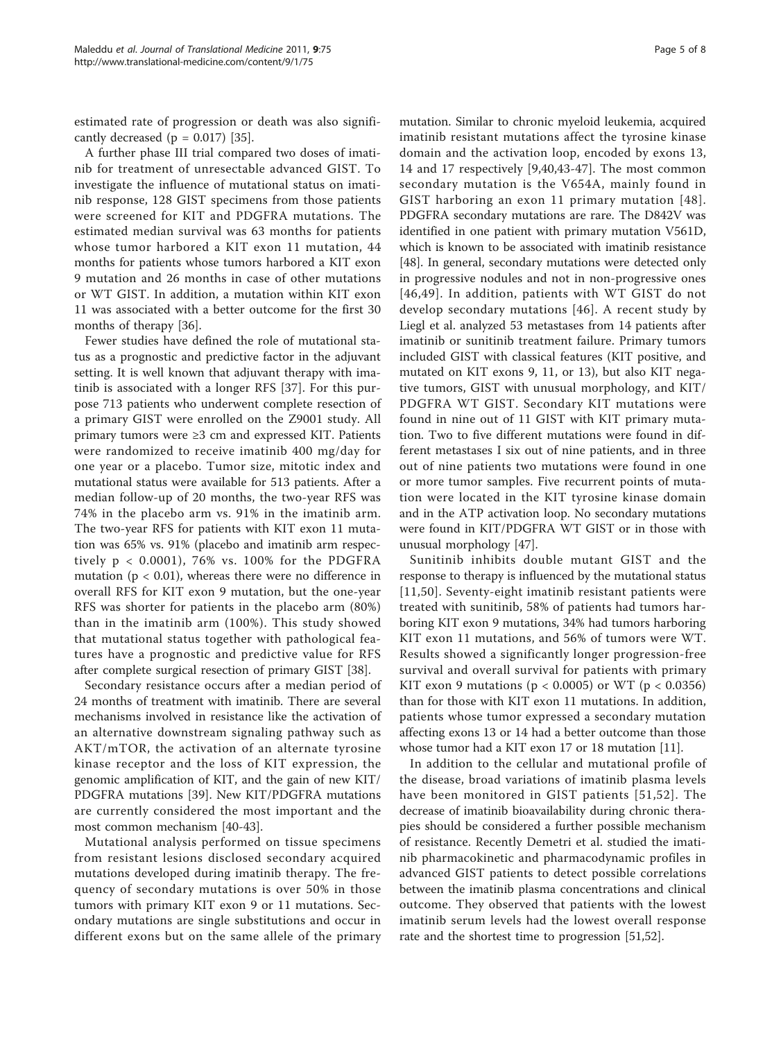estimated rate of progression or death was also significantly decreased ( $p = 0.017$ ) [[35\]](#page-6-0).

A further phase III trial compared two doses of imatinib for treatment of unresectable advanced GIST. To investigate the influence of mutational status on imatinib response, 128 GIST specimens from those patients were screened for KIT and PDGFRA mutations. The estimated median survival was 63 months for patients whose tumor harbored a KIT exon 11 mutation, 44 months for patients whose tumors harbored a KIT exon 9 mutation and 26 months in case of other mutations or WT GIST. In addition, a mutation within KIT exon 11 was associated with a better outcome for the first 30 months of therapy [[36\]](#page-6-0).

Fewer studies have defined the role of mutational status as a prognostic and predictive factor in the adjuvant setting. It is well known that adjuvant therapy with imatinib is associated with a longer RFS [\[37](#page-6-0)]. For this purpose 713 patients who underwent complete resection of a primary GIST were enrolled on the Z9001 study. All primary tumors were ≥3 cm and expressed KIT. Patients were randomized to receive imatinib 400 mg/day for one year or a placebo. Tumor size, mitotic index and mutational status were available for 513 patients. After a median follow-up of 20 months, the two-year RFS was 74% in the placebo arm vs. 91% in the imatinib arm. The two-year RFS for patients with KIT exon 11 mutation was 65% vs. 91% (placebo and imatinib arm respectively p < 0.0001), 76% vs. 100% for the PDGFRA mutation ( $p < 0.01$ ), whereas there were no difference in overall RFS for KIT exon 9 mutation, but the one-year RFS was shorter for patients in the placebo arm (80%) than in the imatinib arm (100%). This study showed that mutational status together with pathological features have a prognostic and predictive value for RFS after complete surgical resection of primary GIST [[38\]](#page-6-0).

Secondary resistance occurs after a median period of 24 months of treatment with imatinib. There are several mechanisms involved in resistance like the activation of an alternative downstream signaling pathway such as AKT/mTOR, the activation of an alternate tyrosine kinase receptor and the loss of KIT expression, the genomic amplification of KIT, and the gain of new KIT/ PDGFRA mutations [\[39](#page-6-0)]. New KIT/PDGFRA mutations are currently considered the most important and the most common mechanism [\[40](#page-6-0)-[43](#page-7-0)].

Mutational analysis performed on tissue specimens from resistant lesions disclosed secondary acquired mutations developed during imatinib therapy. The frequency of secondary mutations is over 50% in those tumors with primary KIT exon 9 or 11 mutations. Secondary mutations are single substitutions and occur in different exons but on the same allele of the primary mutation. Similar to chronic myeloid leukemia, acquired imatinib resistant mutations affect the tyrosine kinase domain and the activation loop, encoded by exons 13, 14 and 17 respectively [[9,](#page-5-0)[40,](#page-6-0)[43](#page-7-0)-[47\]](#page-7-0). The most common secondary mutation is the V654A, mainly found in GIST harboring an exon 11 primary mutation [[48\]](#page-7-0). PDGFRA secondary mutations are rare. The D842V was identified in one patient with primary mutation V561D, which is known to be associated with imatinib resistance [[48\]](#page-7-0). In general, secondary mutations were detected only in progressive nodules and not in non-progressive ones [[46,49](#page-7-0)]. In addition, patients with WT GIST do not develop secondary mutations [[46](#page-7-0)]. A recent study by Liegl et al. analyzed 53 metastases from 14 patients after imatinib or sunitinib treatment failure. Primary tumors included GIST with classical features (KIT positive, and mutated on KIT exons 9, 11, or 13), but also KIT negative tumors, GIST with unusual morphology, and KIT/ PDGFRA WT GIST. Secondary KIT mutations were found in nine out of 11 GIST with KIT primary mutation. Two to five different mutations were found in different metastases I six out of nine patients, and in three out of nine patients two mutations were found in one or more tumor samples. Five recurrent points of mutation were located in the KIT tyrosine kinase domain and in the ATP activation loop. No secondary mutations were found in KIT/PDGFRA WT GIST or in those with unusual morphology [\[47](#page-7-0)].

Sunitinib inhibits double mutant GIST and the response to therapy is influenced by the mutational status [[11,](#page-5-0)[50](#page-7-0)]. Seventy-eight imatinib resistant patients were treated with sunitinib, 58% of patients had tumors harboring KIT exon 9 mutations, 34% had tumors harboring KIT exon 11 mutations, and 56% of tumors were WT. Results showed a significantly longer progression-free survival and overall survival for patients with primary KIT exon 9 mutations ( $p < 0.0005$ ) or WT ( $p < 0.0356$ ) than for those with KIT exon 11 mutations. In addition, patients whose tumor expressed a secondary mutation affecting exons 13 or 14 had a better outcome than those whose tumor had a KIT exon 17 or 18 mutation [\[11](#page-5-0)].

In addition to the cellular and mutational profile of the disease, broad variations of imatinib plasma levels have been monitored in GIST patients [[51](#page-7-0),[52](#page-7-0)]. The decrease of imatinib bioavailability during chronic therapies should be considered a further possible mechanism of resistance. Recently Demetri et al. studied the imatinib pharmacokinetic and pharmacodynamic profiles in advanced GIST patients to detect possible correlations between the imatinib plasma concentrations and clinical outcome. They observed that patients with the lowest imatinib serum levels had the lowest overall response rate and the shortest time to progression [[51,52\]](#page-7-0).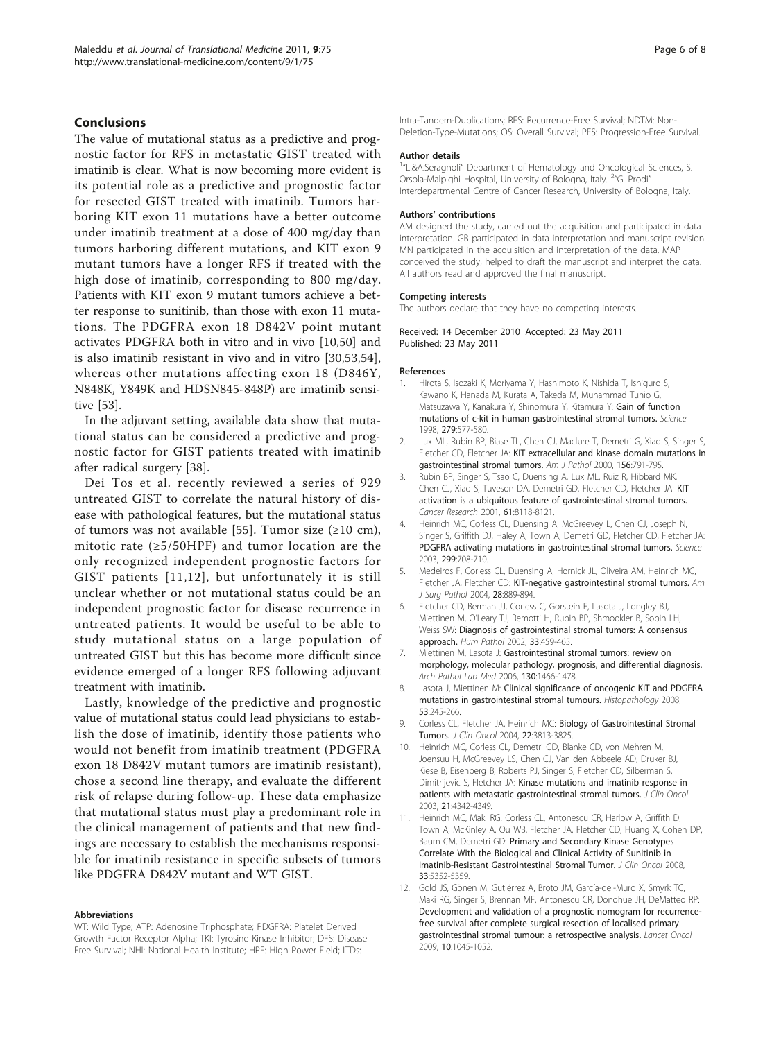## <span id="page-5-0"></span>Conclusions

The value of mutational status as a predictive and prognostic factor for RFS in metastatic GIST treated with imatinib is clear. What is now becoming more evident is its potential role as a predictive and prognostic factor for resected GIST treated with imatinib. Tumors harboring KIT exon 11 mutations have a better outcome under imatinib treatment at a dose of 400 mg/day than tumors harboring different mutations, and KIT exon 9 mutant tumors have a longer RFS if treated with the high dose of imatinib, corresponding to 800 mg/day. Patients with KIT exon 9 mutant tumors achieve a better response to sunitinib, than those with exon 11 mutations. The PDGFRA exon 18 D842V point mutant activates PDGFRA both in vitro and in vivo [10,[50\]](#page-7-0) and is also imatinib resistant in vivo and in vitro [[30,](#page-6-0)[53,54](#page-7-0)], whereas other mutations affecting exon 18 (D846Y, N848K, Y849K and HDSN845-848P) are imatinib sensitive [[53](#page-7-0)].

In the adjuvant setting, available data show that mutational status can be considered a predictive and prognostic factor for GIST patients treated with imatinib after radical surgery [[38\]](#page-6-0).

Dei Tos et al. recently reviewed a series of 929 untreated GIST to correlate the natural history of disease with pathological features, but the mutational status of tumors was not available [[55](#page-7-0)]. Tumor size (≥10 cm), mitotic rate (≥5/50HPF) and tumor location are the only recognized independent prognostic factors for GIST patients [11,12], but unfortunately it is still unclear whether or not mutational status could be an independent prognostic factor for disease recurrence in untreated patients. It would be useful to be able to study mutational status on a large population of untreated GIST but this has become more difficult since evidence emerged of a longer RFS following adjuvant treatment with imatinib.

Lastly, knowledge of the predictive and prognostic value of mutational status could lead physicians to establish the dose of imatinib, identify those patients who would not benefit from imatinib treatment (PDGFRA exon 18 D842V mutant tumors are imatinib resistant), chose a second line therapy, and evaluate the different risk of relapse during follow-up. These data emphasize that mutational status must play a predominant role in the clinical management of patients and that new findings are necessary to establish the mechanisms responsible for imatinib resistance in specific subsets of tumors like PDGFRA D842V mutant and WT GIST.

#### Abbreviations

WT: Wild Type; ATP: Adenosine Triphosphate; PDGFRA: Platelet Derived Growth Factor Receptor Alpha; TKI: Tyrosine Kinase Inhibitor; DFS: Disease Free Survival; NHI: National Health Institute; HPF: High Power Field; ITDs:

Intra-Tandem-Duplications; RFS: Recurrence-Free Survival; NDTM: Non-Deletion-Type-Mutations; OS: Overall Survival; PFS: Progression-Free Survival.

#### Author details

<sup>1</sup>"L.&A.Seragnoli" Department of Hematology and Oncological Sciences, S. Orsola-Malpighi Hospital, University of Bologna, Italy. <sup>2</sup>"G. Prodi<sup>n</sup> Interdepartmental Centre of Cancer Research, University of Bologna, Italy.

#### Authors' contributions

AM designed the study, carried out the acquisition and participated in data interpretation. GB participated in data interpretation and manuscript revision. MN participated in the acquisition and interpretation of the data. MAP conceived the study, helped to draft the manuscript and interpret the data. All authors read and approved the final manuscript.

#### Competing interests

The authors declare that they have no competing interests.

#### Received: 14 December 2010 Accepted: 23 May 2011 Published: 23 May 2011

#### References

- 1. Hirota S, Isozaki K, Moriyama Y, Hashimoto K, Nishida T, Ishiguro S, Kawano K, Hanada M, Kurata A, Takeda M, Muhammad Tunio G, Matsuzawa Y, Kanakura Y, Shinomura Y, Kitamura Y: [Gain of function](http://www.ncbi.nlm.nih.gov/pubmed/9438854?dopt=Abstract) [mutations of c-kit in human gastrointestinal stromal tumors.](http://www.ncbi.nlm.nih.gov/pubmed/9438854?dopt=Abstract) Science 1998, 279:577-580.
- 2. Lux ML, Rubin BP, Biase TL, Chen CJ, Maclure T, Demetri G, Xiao S, Singer S, Fletcher CD, Fletcher JA: [KIT extracellular and kinase domain mutations in](http://www.ncbi.nlm.nih.gov/pubmed/10702394?dopt=Abstract) [gastrointestinal stromal tumors.](http://www.ncbi.nlm.nih.gov/pubmed/10702394?dopt=Abstract) Am J Pathol 2000, 156:791-795.
- 3. Rubin BP, Singer S, Tsao C, Duensing A, Lux ML, Ruiz R, Hibbard MK, Chen CJ, Xiao S, Tuveson DA, Demetri GD, Fletcher CD, Fletcher JA: [KIT](http://www.ncbi.nlm.nih.gov/pubmed/11719439?dopt=Abstract) [activation is a ubiquitous feature of gastrointestinal stromal tumors.](http://www.ncbi.nlm.nih.gov/pubmed/11719439?dopt=Abstract) Cancer Research 2001, 61:8118-8121.
- 4. Heinrich MC, Corless CL, Duensing A, McGreevey L, Chen CJ, Joseph N, Singer S, Griffith DJ, Haley A, Town A, Demetri GD, Fletcher CD, Fletcher JA: [PDGFRA activating mutations in gastrointestinal stromal tumors.](http://www.ncbi.nlm.nih.gov/pubmed/12522257?dopt=Abstract) Science 2003, 299:708-710.
- 5. Medeiros F, Corless CL, Duensing A, Hornick JL, Oliveira AM, Heinrich MC, Fletcher JA, Fletcher CD: [KIT-negative gastrointestinal stromal tumors.](http://www.ncbi.nlm.nih.gov/pubmed/15223958?dopt=Abstract) Am J Surg Pathol 2004, 28:889-894.
- 6. Fletcher CD, Berman JJ, Corless C, Gorstein F, Lasota J, Longley BJ, Miettinen M, O'Leary TJ, Remotti H, Rubin BP, Shmookler B, Sobin LH, Weiss SW: [Diagnosis of gastrointestinal stromal tumors: A consensus](http://www.ncbi.nlm.nih.gov/pubmed/12094370?dopt=Abstract) [approach.](http://www.ncbi.nlm.nih.gov/pubmed/12094370?dopt=Abstract) Hum Pathol 2002, 33:459-465.
- 7. Miettinen M, Lasota J: [Gastrointestinal stromal tumors: review on](http://www.ncbi.nlm.nih.gov/pubmed/17090188?dopt=Abstract) [morphology, molecular pathology, prognosis, and differential diagnosis.](http://www.ncbi.nlm.nih.gov/pubmed/17090188?dopt=Abstract) Arch Pathol Lab Med 2006, 130:1466-1478.
- 8. Lasota J, Miettinen M: [Clinical significance of oncogenic KIT and PDGFRA](http://www.ncbi.nlm.nih.gov/pubmed/18312355?dopt=Abstract) [mutations in gastrointestinal stromal tumours.](http://www.ncbi.nlm.nih.gov/pubmed/18312355?dopt=Abstract) Histopathology 2008, 53:245-266.
- 9. Corless CL, Fletcher JA, Heinrich MC: [Biology of Gastrointestinal Stromal](http://www.ncbi.nlm.nih.gov/pubmed/15365079?dopt=Abstract) [Tumors.](http://www.ncbi.nlm.nih.gov/pubmed/15365079?dopt=Abstract) J Clin Oncol 2004, 22:3813-3825.
- 10. Heinrich MC, Corless CL, Demetri GD, Blanke CD, von Mehren M, Joensuu H, McGreevey LS, Chen CJ, Van den Abbeele AD, Druker BJ, Kiese B, Eisenberg B, Roberts PJ, Singer S, Fletcher CD, Silberman S, Dimitrijevic S, Fletcher JA: [Kinase mutations and imatinib response in](http://www.ncbi.nlm.nih.gov/pubmed/14645423?dopt=Abstract) [patients with metastatic gastrointestinal stromal tumors.](http://www.ncbi.nlm.nih.gov/pubmed/14645423?dopt=Abstract) J Clin Oncol 2003, 21:4342-4349.
- 11. Heinrich MC, Maki RG, Corless CL, Antonescu CR, Harlow A, Griffith D, Town A, McKinley A, Ou WB, Fletcher JA, Fletcher CD, Huang X, Cohen DP, Baum CM, Demetri GD: Primary and Secondary Kinase Genotypes Correlate With the Biological and Clinical Activity of Sunitinib in Imatinib-Resistant Gastrointestinal Stromal Tumor. J Clin Oncol 2008, 33:5352-5359.
- 12. Gold JS, Gönen M, Gutiérrez A, Broto JM, García-del-Muro X, Smyrk TC, Maki RG, Singer S, Brennan MF, Antonescu CR, Donohue JH, DeMatteo RP: [Development and validation of a prognostic nomogram for recurrence](http://www.ncbi.nlm.nih.gov/pubmed/19793678?dopt=Abstract)[free survival after complete surgical resection of localised primary](http://www.ncbi.nlm.nih.gov/pubmed/19793678?dopt=Abstract) [gastrointestinal stromal tumour: a retrospective analysis.](http://www.ncbi.nlm.nih.gov/pubmed/19793678?dopt=Abstract) Lancet Oncol 2009, 10:1045-1052.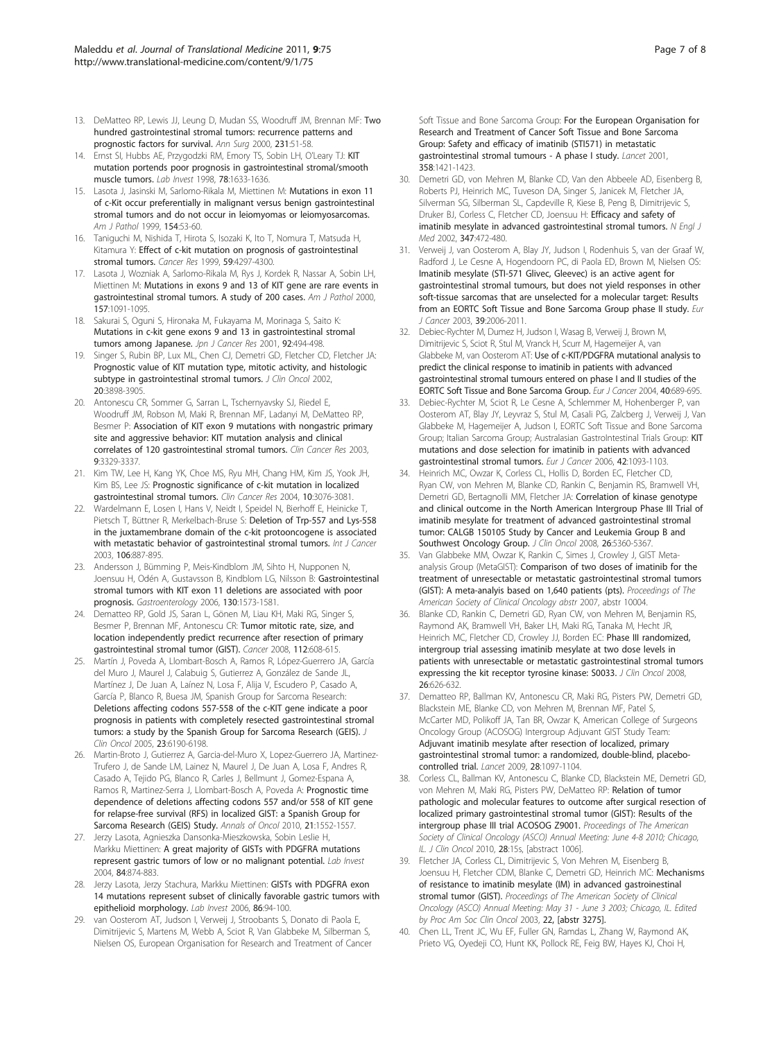- <span id="page-6-0"></span>13. DeMatteo RP, Lewis JJ, Leung D, Mudan SS, Woodruff JM, Brennan MF: [Two](http://www.ncbi.nlm.nih.gov/pubmed/10636102?dopt=Abstract) [hundred gastrointestinal stromal tumors: recurrence patterns and](http://www.ncbi.nlm.nih.gov/pubmed/10636102?dopt=Abstract) [prognostic factors for survival.](http://www.ncbi.nlm.nih.gov/pubmed/10636102?dopt=Abstract) Ann Surg 2000, 231:51-58.
- 14. Ernst SI, Hubbs AE, Przygodzki RM, Emory TS, Sobin LH, O'Leary TJ: [KIT](http://www.ncbi.nlm.nih.gov/pubmed/9881963?dopt=Abstract) [mutation portends poor prognosis in gastrointestinal stromal/smooth](http://www.ncbi.nlm.nih.gov/pubmed/9881963?dopt=Abstract) [muscle tumors.](http://www.ncbi.nlm.nih.gov/pubmed/9881963?dopt=Abstract) Lab Invest 1998, 78:1633-1636.
- 15. Lasota J, Jasinski M, Sarlomo-Rikala M, Miettinen M: [Mutations in exon 11](http://www.ncbi.nlm.nih.gov/pubmed/9916918?dopt=Abstract) [of c-Kit occur preferentially in malignant versus benign gastrointestinal](http://www.ncbi.nlm.nih.gov/pubmed/9916918?dopt=Abstract) [stromal tumors and do not occur in leiomyomas or leiomyosarcomas.](http://www.ncbi.nlm.nih.gov/pubmed/9916918?dopt=Abstract) Am J Pathol 1999, 154:53-60.
- 16. Taniguchi M, Nishida T, Hirota S, Isozaki K, Ito T, Nomura T, Matsuda H, Kitamura Y: [Effect of c-kit mutation on prognosis of gastrointestinal](http://www.ncbi.nlm.nih.gov/pubmed/10485475?dopt=Abstract) [stromal tumors.](http://www.ncbi.nlm.nih.gov/pubmed/10485475?dopt=Abstract) Cancer Res 1999, 59:4297-4300.
- 17. Lasota J, Wozniak A, Sarlomo-Rikala M, Rys J, Kordek R, Nassar A, Sobin LH, Miettinen M: [Mutations in exons 9 and 13 of KIT gene are rare events in](http://www.ncbi.nlm.nih.gov/pubmed/11021812?dopt=Abstract) [gastrointestinal stromal tumors. A study of 200 cases.](http://www.ncbi.nlm.nih.gov/pubmed/11021812?dopt=Abstract) Am J Pathol 2000, 157:1091-1095.
- 18. Sakurai S, Oguni S, Hironaka M, Fukayama M, Morinaga S, Saito K: [Mutations in c-kit gene exons 9 and 13 in gastrointestinal stromal](http://www.ncbi.nlm.nih.gov/pubmed/11376557?dopt=Abstract) [tumors among Japanese.](http://www.ncbi.nlm.nih.gov/pubmed/11376557?dopt=Abstract) Jpn J Cancer Res 2001, 92:494-498.
- 19. Singer S, Rubin BP, Lux ML, Chen CJ, Demetri GD, Fletcher CD, Fletcher JA: [Prognostic value of KIT mutation type, mitotic activity, and histologic](http://www.ncbi.nlm.nih.gov/pubmed/12228211?dopt=Abstract) [subtype in gastrointestinal stromal tumors.](http://www.ncbi.nlm.nih.gov/pubmed/12228211?dopt=Abstract) J Clin Oncol 2002, 20:3898-3905.
- 20. Antonescu CR, Sommer G, Sarran L, Tschernyavsky SJ, Riedel E, Woodruff JM, Robson M, Maki R, Brennan MF, Ladanyi M, DeMatteo RP, Besmer P: [Association of KIT exon 9 mutations with nongastric primary](http://www.ncbi.nlm.nih.gov/pubmed/12960119?dopt=Abstract) [site and aggressive behavior: KIT mutation analysis and clinical](http://www.ncbi.nlm.nih.gov/pubmed/12960119?dopt=Abstract) [correlates of 120 gastrointestinal stromal tumors.](http://www.ncbi.nlm.nih.gov/pubmed/12960119?dopt=Abstract) Clin Cancer Res 2003, 9:3329-3337.
- 21. Kim TW, Lee H, Kang YK, Choe MS, Ryu MH, Chang HM, Kim JS, Yook JH, Kim BS, Lee JS: [Prognostic significance of c-kit mutation in localized](http://www.ncbi.nlm.nih.gov/pubmed/15131046?dopt=Abstract) [gastrointestinal stromal tumors.](http://www.ncbi.nlm.nih.gov/pubmed/15131046?dopt=Abstract) Clin Cancer Res 2004, 10:3076-3081.
- 22. Wardelmann E, Losen I, Hans V, Neidt I, Speidel N, Bierhoff E, Heinicke T, Pietsch T, Büttner R, Merkelbach-Bruse S: [Deletion of Trp-557 and Lys-558](http://www.ncbi.nlm.nih.gov/pubmed/12918066?dopt=Abstract) [in the juxtamembrane domain of the c-kit protooncogene is associated](http://www.ncbi.nlm.nih.gov/pubmed/12918066?dopt=Abstract) [with metastatic behavior of gastrointestinal stromal tumors.](http://www.ncbi.nlm.nih.gov/pubmed/12918066?dopt=Abstract) Int J Cancer 2003, 106:887-895.
- 23. Andersson J, Bümming P, Meis-Kindblom JM, Sihto H, Nupponen N, Joensuu H, Odén A, Gustavsson B, Kindblom LG, Nilsson B: [Gastrointestinal](http://www.ncbi.nlm.nih.gov/pubmed/16697720?dopt=Abstract) [stromal tumors with KIT exon 11 deletions are associated with poor](http://www.ncbi.nlm.nih.gov/pubmed/16697720?dopt=Abstract) [prognosis.](http://www.ncbi.nlm.nih.gov/pubmed/16697720?dopt=Abstract) Gastroenterology 2006, 130:1573-1581.
- 24. Dematteo RP, Gold JS, Saran L, Gönen M, Liau KH, Maki RG, Singer S, Besmer P, Brennan MF, Antonescu CR: [Tumor mitotic rate, size, and](http://www.ncbi.nlm.nih.gov/pubmed/18076015?dopt=Abstract) [location independently predict recurrence after resection of primary](http://www.ncbi.nlm.nih.gov/pubmed/18076015?dopt=Abstract) [gastrointestinal stromal tumor \(GIST\).](http://www.ncbi.nlm.nih.gov/pubmed/18076015?dopt=Abstract) Cancer 2008, 112:608-615.
- 25. Martín J, Poveda A, Llombart-Bosch A, Ramos R, López-Guerrero JA, García del Muro J, Maurel J, Calabuig S, Gutierrez A, González de Sande JL, Martínez J, De Juan A, Laínez N, Losa F, Alija V, Escudero P, Casado A, García P, Blanco R, Buesa JM, Spanish Group for Sarcoma Research: [Deletions affecting codons 557-558 of the c-KIT gene indicate a poor](http://www.ncbi.nlm.nih.gov/pubmed/16135486?dopt=Abstract) [prognosis in patients with completely resected gastrointestinal stromal](http://www.ncbi.nlm.nih.gov/pubmed/16135486?dopt=Abstract) [tumors: a study by the Spanish Group for Sarcoma Research \(GEIS\).](http://www.ncbi.nlm.nih.gov/pubmed/16135486?dopt=Abstract) J Clin Oncol 2005, 23:6190-6198.
- 26. Martin-Broto J, Gutierrez A, Garcia-del-Muro X, Lopez-Guerrero JA, Martinez-Trufero J, de Sande LM, Lainez N, Maurel J, De Juan A, Losa F, Andres R, Casado A, Tejido PG, Blanco R, Carles J, Bellmunt J, Gomez-Espana A, Ramos R, Martinez-Serra J, Llombart-Bosch A, Poveda A: Prognostic time dependence of deletions affecting codons 557 and/or 558 of KIT gene for relapse-free survival (RFS) in localized GIST: a Spanish Group for Sarcoma Research (GEIS) Study. Annals of Oncol 2010, 21:1552-1557.
- 27. Jerzy Lasota, Agnieszka Dansonka-Mieszkowska, Sobin Leslie H, Markku Miettinen: [A great majority of GISTs with PDGFRA mutations](http://www.ncbi.nlm.nih.gov/pubmed/15146165?dopt=Abstract) [represent gastric tumors of low or no malignant potential.](http://www.ncbi.nlm.nih.gov/pubmed/15146165?dopt=Abstract) Lab Invest 2004, 84:874-883.
- 28. Jerzy Lasota, Jerzy Stachura, Markku Miettinen: [GISTs with PDGFRA exon](http://www.ncbi.nlm.nih.gov/pubmed/16258521?dopt=Abstract) [14 mutations represent subset of clinically favorable gastric tumors with](http://www.ncbi.nlm.nih.gov/pubmed/16258521?dopt=Abstract) [epithelioid morphology.](http://www.ncbi.nlm.nih.gov/pubmed/16258521?dopt=Abstract) Lab Invest 2006, 86:94-100.
- 29. van Oosterom AT, Judson I, Verweij J, Stroobants S, Donato di Paola E, Dimitrijevic S, Martens M, Webb A, Sciot R, Van Glabbeke M, Silberman S, Nielsen OS, European Organisation for Research and Treatment of Cancer

Soft Tissue and Bone Sarcoma Group: [For the European Organisation for](http://www.ncbi.nlm.nih.gov/pubmed/11705489?dopt=Abstract) [Research and Treatment of Cancer Soft Tissue and Bone Sarcoma](http://www.ncbi.nlm.nih.gov/pubmed/11705489?dopt=Abstract) [Group: Safety and efficacy of imatinib \(STI571\) in metastatic](http://www.ncbi.nlm.nih.gov/pubmed/11705489?dopt=Abstract) [gastrointestinal stromal tumours - A phase I study.](http://www.ncbi.nlm.nih.gov/pubmed/11705489?dopt=Abstract) Lancet 2001, 358:1421-1423.

- 30. Demetri GD, von Mehren M, Blanke CD, Van den Abbeele AD, Eisenberg B, Roberts PJ, Heinrich MC, Tuveson DA, Singer S, Janicek M, Fletcher JA, Silverman SG, Silberman SL, Capdeville R, Kiese B, Peng B, Dimitrijevic S, Druker BJ, Corless C, Fletcher CD, Joensuu H: [Efficacy and safety of](http://www.ncbi.nlm.nih.gov/pubmed/12181401?dopt=Abstract) [imatinib mesylate in advanced gastrointestinal stromal tumors.](http://www.ncbi.nlm.nih.gov/pubmed/12181401?dopt=Abstract) N Engl J Med 2002, 347:472-480.
- 31. Verweij J, van Oosterom A, Blay JY, Judson I, Rodenhuis S, van der Graaf W, Radford J, Le Cesne A, Hogendoorn PC, di Paola ED, Brown M, Nielsen OS: [Imatinib mesylate \(STI-571 Glivec, Gleevec\) is an active agent for](http://www.ncbi.nlm.nih.gov/pubmed/12957454?dopt=Abstract) [gastrointestinal stromal tumours, but does not yield responses in other](http://www.ncbi.nlm.nih.gov/pubmed/12957454?dopt=Abstract) [soft-tissue sarcomas that are unselected for a molecular target: Results](http://www.ncbi.nlm.nih.gov/pubmed/12957454?dopt=Abstract) [from an EORTC Soft Tissue and Bone Sarcoma Group phase II study.](http://www.ncbi.nlm.nih.gov/pubmed/12957454?dopt=Abstract) Eur J Cancer 2003, 39:2006-2011.
- 32. Debiec-Rychter M, Dumez H, Judson I, Wasag B, Verweij J, Brown M, Dimitrijevic S, Sciot R, Stul M, Vranck H, Scurr M, Hagemeijer A, van Glabbeke M, van Oosterom AT: [Use of c-KIT/PDGFRA mutational analysis to](http://www.ncbi.nlm.nih.gov/pubmed/15010069?dopt=Abstract) [predict the clinical response to imatinib in patients with advanced](http://www.ncbi.nlm.nih.gov/pubmed/15010069?dopt=Abstract) [gastrointestinal stromal tumours entered on phase I and II studies of the](http://www.ncbi.nlm.nih.gov/pubmed/15010069?dopt=Abstract) [EORTC Soft Tissue and Bone Sarcoma Group.](http://www.ncbi.nlm.nih.gov/pubmed/15010069?dopt=Abstract) Eur J Cancer 2004, 40:689-695.
- 33. Debiec-Rychter M, Sciot R, Le Cesne A, Schlemmer M, Hohenberger P, van Oosterom AT, Blay JY, Leyvraz S, Stul M, Casali PG, Zalcberg J, Verweij J, Van Glabbeke M, Hagemeijer A, Judson I, EORTC Soft Tissue and Bone Sarcoma Group; Italian Sarcoma Group; Australasian GastroIntestinal Trials Group: [KIT](http://www.ncbi.nlm.nih.gov/pubmed/16624552?dopt=Abstract) [mutations and dose selection for imatinib in patients with advanced](http://www.ncbi.nlm.nih.gov/pubmed/16624552?dopt=Abstract) [gastrointestinal stromal tumors.](http://www.ncbi.nlm.nih.gov/pubmed/16624552?dopt=Abstract) Eur J Cancer 2006, 42:1093-1103.
- 34. Heinrich MC, Owzar K, Corless CL, Hollis D, Borden EC, Fletcher CD, Ryan CW, von Mehren M, Blanke CD, Rankin C, Benjamin RS, Bramwell VH, Demetri GD, Bertagnolli MM, Fletcher JA: [Correlation of kinase genotype](http://www.ncbi.nlm.nih.gov/pubmed/18955451?dopt=Abstract) [and clinical outcome in the North American Intergroup Phase III Trial of](http://www.ncbi.nlm.nih.gov/pubmed/18955451?dopt=Abstract) [imatinib mesylate for treatment of advanced gastrointestinal stromal](http://www.ncbi.nlm.nih.gov/pubmed/18955451?dopt=Abstract) [tumor: CALGB 150105 Study by Cancer and Leukemia Group B and](http://www.ncbi.nlm.nih.gov/pubmed/18955451?dopt=Abstract) [Southwest Oncology Group.](http://www.ncbi.nlm.nih.gov/pubmed/18955451?dopt=Abstract) J Clin Oncol 2008, 26:5360-5367.
- 35. Van Glabbeke MM, Owzar K, Rankin C, Simes J, Crowley J, GIST Metaanalysis Group (MetaGIST): Comparison of two doses of imatinib for the treatment of unresectable or metastatic gastrointestinal stromal tumors (GIST): A meta-analyis based on 1,640 patients (pts). Proceedings of The American Society of Clinical Oncology abstr 2007, abstr 10004.
- 36. Blanke CD, Rankin C, Demetri GD, Ryan CW, von Mehren M, Benjamin RS, Raymond AK, Bramwell VH, Baker LH, Maki RG, Tanaka M, Hecht JR, Heinrich MC, Fletcher CD, Crowley JJ, Borden EC: [Phase III randomized,](http://www.ncbi.nlm.nih.gov/pubmed/18235122?dopt=Abstract) [intergroup trial assessing imatinib mesylate at two dose levels in](http://www.ncbi.nlm.nih.gov/pubmed/18235122?dopt=Abstract) [patients with unresectable or metastatic gastrointestinal stromal tumors](http://www.ncbi.nlm.nih.gov/pubmed/18235122?dopt=Abstract) [expressing the kit receptor tyrosine kinase: S0033.](http://www.ncbi.nlm.nih.gov/pubmed/18235122?dopt=Abstract) J Clin Oncol 2008, 26:626-632.
- 37. Dematteo RP, Ballman KV, Antonescu CR, Maki RG, Pisters PW, Demetri GD, Blackstein ME, Blanke CD, von Mehren M, Brennan MF, Patel S, McCarter MD, Polikoff JA, Tan BR, Owzar K, American College of Surgeons Oncology Group (ACOSOG) Intergroup Adjuvant GIST Study Team: Adjuvant imatinib mesylate after resection of localized, primary gastrointestinal stromal tumor: a randomized, double-blind, placebocontrolled trial. Lancet 2009, 28:1097-1104.
- 38. Corless CL, Ballman KV, Antonescu C, Blanke CD, Blackstein ME, Demetri GD, von Mehren M, Maki RG, Pisters PW, DeMatteo RP: Relation of tumor pathologic and molecular features to outcome after surgical resection of localized primary gastrointestinal stromal tumor (GIST): Results of the intergroup phase III trial ACOSOG Z9001. Proceedings of The American Society of Clinical Oncology (ASCO) Annual Meeting: June 4-8 2010; Chicago, IL. J Clin Oncol 2010, 28:15s, [abstract 1006].
- 39. Fletcher JA, Corless CL, Dimitrijevic S, Von Mehren M, Eisenberg B, Joensuu H, Fletcher CDM, Blanke C, Demetri GD, Heinrich MC: Mechanisms of resistance to imatinib mesylate (IM) in advanced gastroinestinal stromal tumor (GIST). Proceedings of The American Society of Clinical Oncology (ASCO) Annual Meeting: May 31 - June 3 2003; Chicago, IL. Edited by Proc Am Soc Clin Oncol 2003, 22, [abstr 3275].
- 40. Chen LL, Trent JC, Wu EF, Fuller GN, Ramdas L, Zhang W, Raymond AK, Prieto VG, Oyedeji CO, Hunt KK, Pollock RE, Feig BW, Hayes KJ, Choi H,